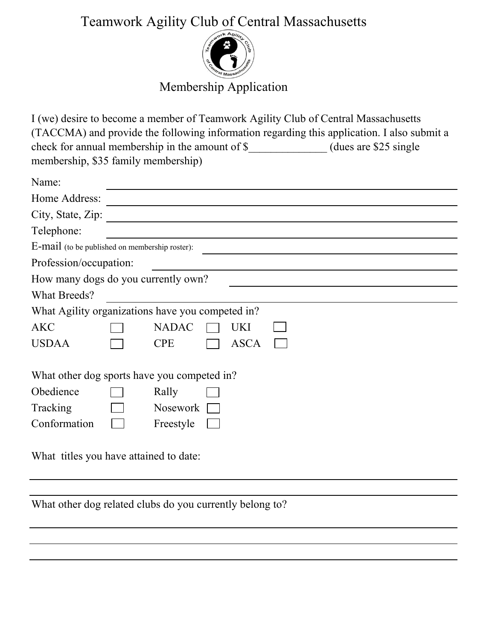## Teamwork Agility Club of Central Massachusetts



## Membership Application

I (we) desire to become a member of Teamwork Agility Club of Central Massachusetts (TACCMA) and provide the following information regarding this application. I also submit a check for annual membership in the amount of \$\_\_\_\_\_\_\_\_\_\_\_\_\_\_\_ (dues are \$25 single membership, \$35 family membership)

| Name:                                            |                 |             |  |  |  |
|--------------------------------------------------|-----------------|-------------|--|--|--|
| Home Address:                                    |                 |             |  |  |  |
| City, State, Zip:                                |                 |             |  |  |  |
| Telephone:                                       |                 |             |  |  |  |
| E-mail (to be published on membership roster):   |                 |             |  |  |  |
| Profession/occupation:                           |                 |             |  |  |  |
| How many dogs do you currently own?              |                 |             |  |  |  |
| What Breeds?                                     |                 |             |  |  |  |
| What Agility organizations have you competed in? |                 |             |  |  |  |
| <b>AKC</b>                                       | <b>NADAC</b>    | UKI         |  |  |  |
| <b>USDAA</b>                                     | <b>CPE</b>      | <b>ASCA</b> |  |  |  |
| What other dog sports have you competed in?      |                 |             |  |  |  |
| Obedience                                        | Rally           |             |  |  |  |
| Tracking                                         | <b>Nosework</b> |             |  |  |  |
| Conformation                                     | Freestyle       |             |  |  |  |
|                                                  |                 |             |  |  |  |

What titles you have attained to date:

What other dog related clubs do you currently belong to?